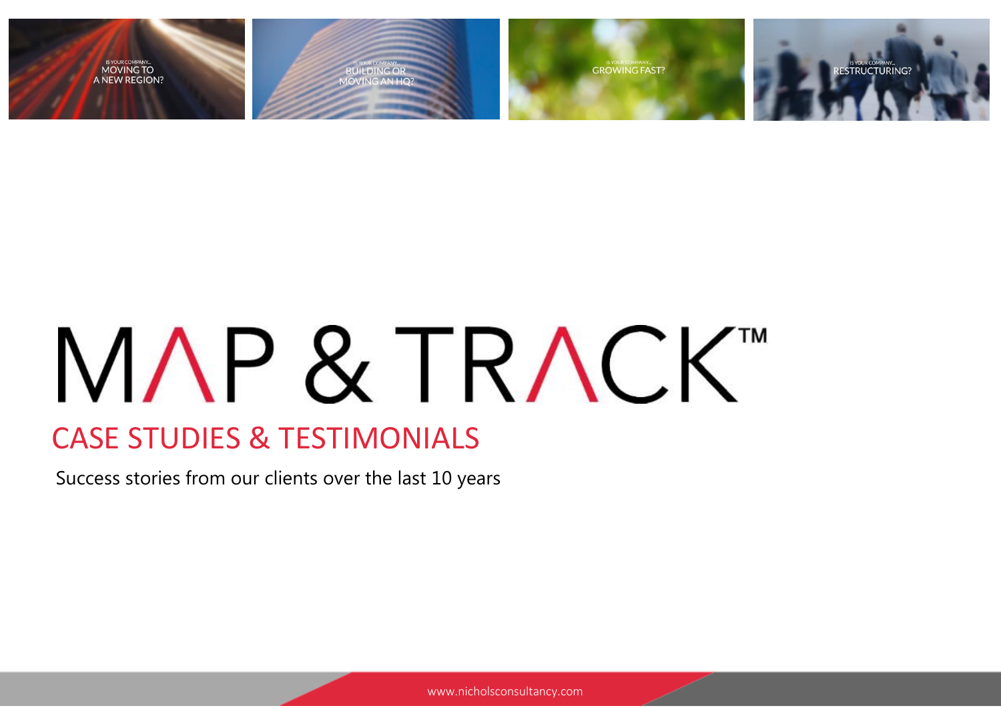

# MAP & TRACKT

### CASE STUDIES & TESTIMONIALS

Success stories from our clients over the last 10 years

www.nicholsconsultancy.com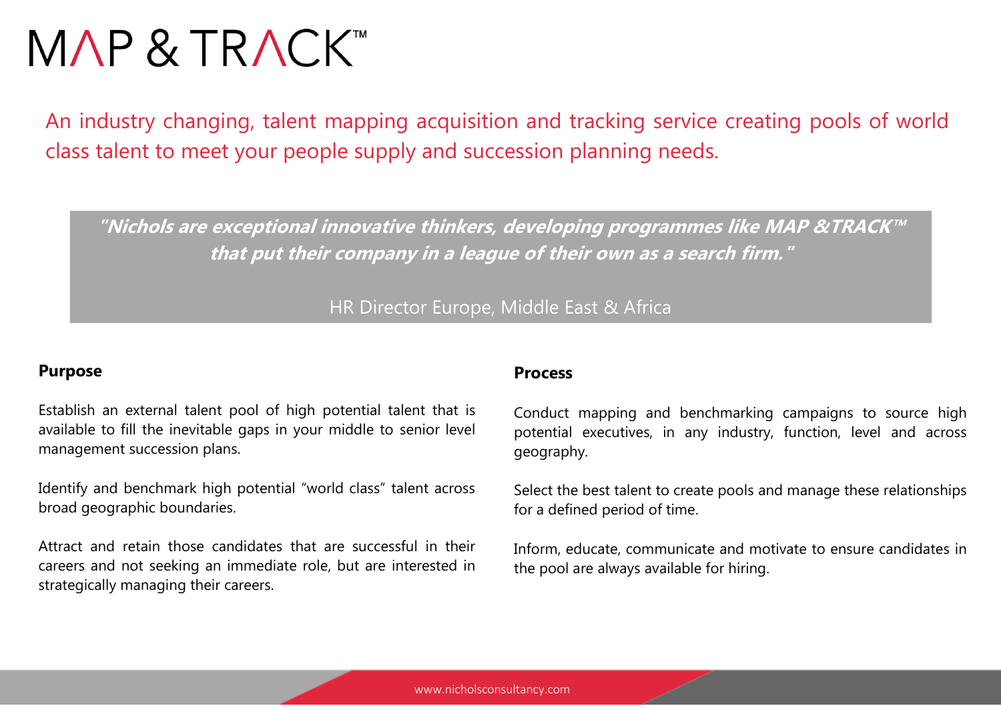## MAP & TRACKTM

An industry changing, talent mapping acquisition and tracking service creating pools of world class talent to meet your people supply and succession planning needs.

**"Nichols are exceptional innovative thinkers, developing programmes like MAP &TRACK™ that put their company in a league of their own as a search firm."**

HR Director Europe, Middle East & Africa

#### **Purpose**

Establish an external talent pool of high potential talent that is available to fill the inevitable gaps in your middle to senior level management succession plans.

Identify and benchmark high potential "world class" talent across broad geographic boundaries.

Attract and retain those candidates that are successful in their careers and not seeking an immediate role, but are interested in strategically managing their careers.

#### **Process**

Conduct mapping and benchmarking campaigns to source high potential executives, in any industry, function, level and across geography.

Select the best talent to create pools and manage these relationships for a defined period of time.

Inform, educate, communicate and motivate to ensure candidates in the pool are always available for hiring.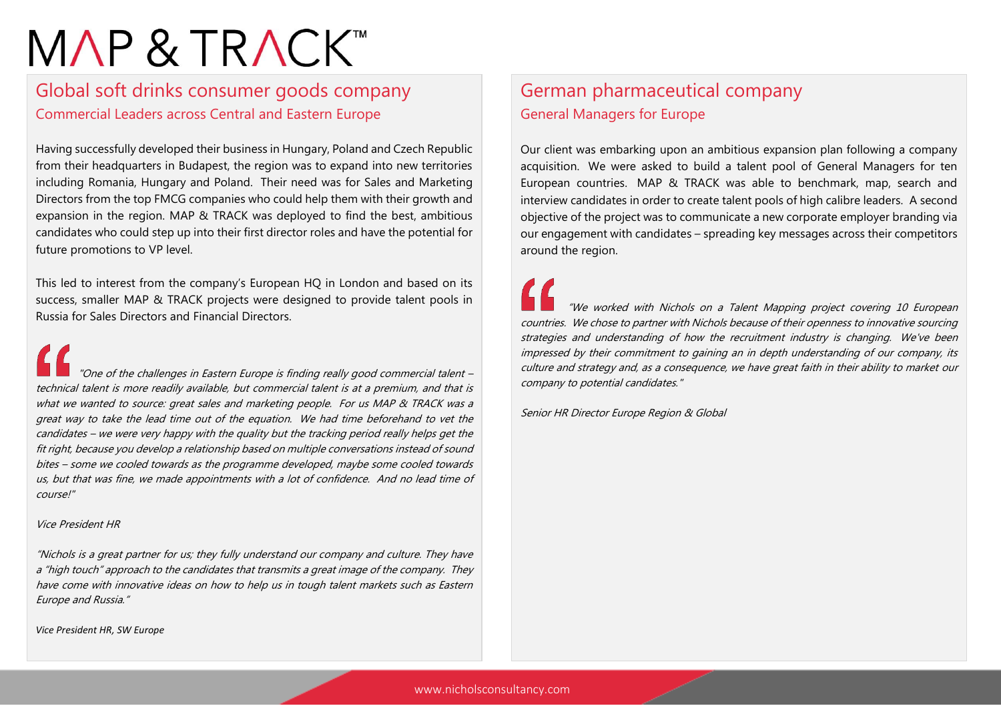## MAP & TRACK™

#### Global soft drinks consumer goods company Commercial Leaders across Central and Eastern Europe

Having successfully developed their business in Hungary, Poland and Czech Republic from their headquarters in Budapest, the region was to expand into new territories including Romania, Hungary and Poland. Their need was for Sales and Marketing Directors from the top FMCG companies who could help them with their growth and expansion in the region. MAP & TRACK was deployed to find the best, ambitious candidates who could step up into their first director roles and have the potential for future promotions to VP level.

This led to interest from the company's European HQ in London and based on its success, smaller MAP & TRACK projects were designed to provide talent pools in Russia for Sales Directors and Financial Directors.

 "One of the challenges in Eastern Europe is finding really good commercial talent – technical talent is more readily available, but commercial talent is at a premium, and that is what we wanted to source: great sales and marketing people. For us MAP & TRACK was a great way to take the lead time out of the equation. We had time beforehand to vet the candidates – we were very happy with the quality but the tracking period really helps get the fit right, because you develop a relationship based on multiple conversations instead of sound bites – some we cooled towards as the programme developed, maybe some cooled towards us, but that was fine, we made appointments with a lot of confidence. And no lead time of course!"

#### Vice President HR

"Nichols is a great partner for us; they fully understand our company and culture. They have <sup>a</sup>"high touch" approach to the candidates that transmits a great image of the company. They have come with innovative ideas on how to help us in tough talent markets such as Eastern Europe and Russia."

*Vice President HR, SW Europe*

#### German pharmaceutical company General Managers for Europe

Our client was embarking upon an ambitious expansion plan following a company acquisition. We were asked to build a talent pool of General Managers for ten European countries. MAP & TRACK was able to benchmark, map, search and interview candidates in order to create talent pools of high calibre leaders. A second objective of the project was to communicate a new corporate employer branding via our engagement with candidates – spreading key messages across their competitors around the region.

 "We worked with Nichols on a Talent Mapping project covering 10 European countries. We chose to partner with Nichols because of their openness to innovative sourcing strategies and understanding of how the recruitment industry is changing. We've been impressed by their commitment to gaining an in depth understanding of our company, its culture and strategy and, as a consequence, we have great faith in their ability to market our company to potential candidates."

Senior HR Director Europe Region & Global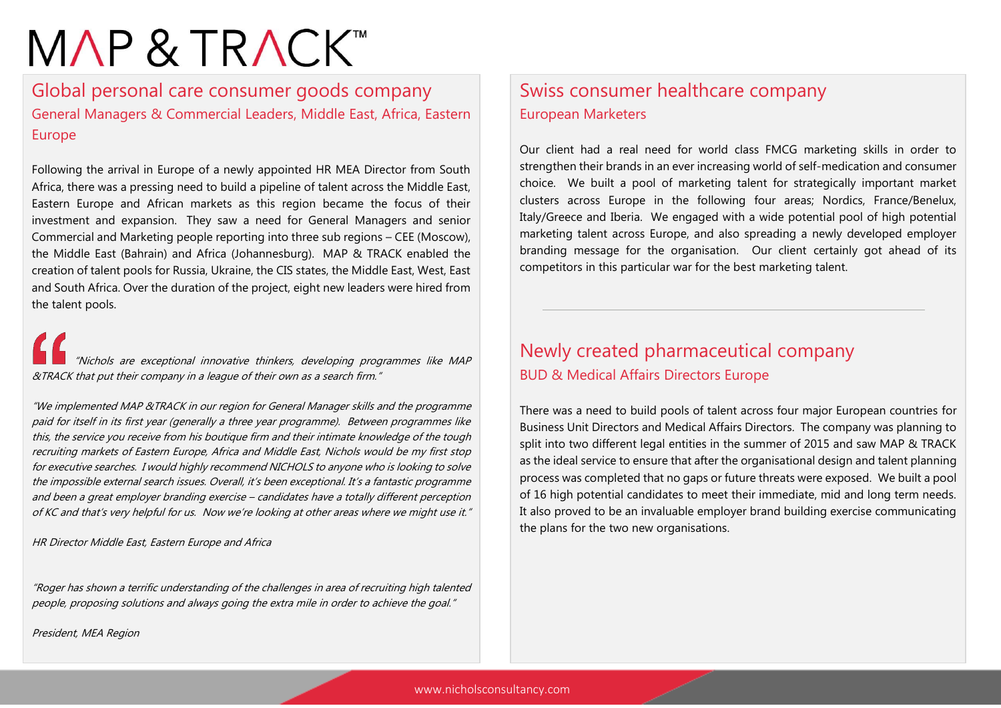## MAP & TRACK™

Global personal care consumer goods company General Managers & Commercial Leaders, Middle East, Africa, Eastern Europe

Following the arrival in Europe of a newly appointed HR MEA Director from South Africa, there was a pressing need to build a pipeline of talent across the Middle East, Eastern Europe and African markets as this region became the focus of their investment and expansion. They saw a need for General Managers and senior Commercial and Marketing people reporting into three sub regions – CEE (Moscow), the Middle East (Bahrain) and Africa (Johannesburg). MAP & TRACK enabled the creation of talent pools for Russia, Ukraine, the CIS states, the Middle East, West, East and South Africa. Over the duration of the project, eight new leaders were hired from the talent pools.

"Nichols are exceptional innovative thinkers, developing programmes like MAP &TRACK that put their company in a league of their own as a search firm."

"We implemented MAP &TRACK in our region for General Manager skills and the programme paid for itself in its first year (generally a three year programme). Between programmes like this, the service you receive from his boutique firm and their intimate knowledge of the tough recruiting markets of Eastern Europe, Africa and Middle East, Nichols would be my first stop for executive searches. I would highly recommend NICHOLS to anyone who is looking to solve the impossible external search issues. Overall, it's been exceptional. It's a fantastic programme and been a great employer branding exercise – candidates have a totally different perception of KC and that's very helpful for us. Now we're looking at other areas where we might use it."

HR Director Middle East, Eastern Europe and Africa

"Roger has shown a terrific understanding of the challenges in area of recruiting high talented people, proposing solutions and always going the extra mile in order to achieve the goal."

President, MEA Region

#### Swiss consumer healthcare company European Marketers

Our client had a real need for world class FMCG marketing skills in order to strengthen their brands in an ever increasing world of self-medication and consumer choice. We built a pool of marketing talent for strategically important market clusters across Europe in the following four areas; Nordics, France/Benelux, Italy/Greece and Iberia. We engaged with a wide potential pool of high potential marketing talent across Europe, and also spreading a newly developed employer branding message for the organisation. Our client certainly got ahead of its competitors in this particular war for the best marketing talent.

#### Newly created pharmaceutical company BUD & Medical Affairs Directors Europe

There was a need to build pools of talent across four major European countries for Business Unit Directors and Medical Affairs Directors. The company was planning to split into two different legal entities in the summer of 2015 and saw MAP & TRACK as the ideal service to ensure that after the organisational design and talent planning process was completed that no gaps or future threats were exposed. We built a pool of 16 high potential candidates to meet their immediate, mid and long term needs. It also proved to be an invaluable employer brand building exercise communicating the plans for the two new organisations.